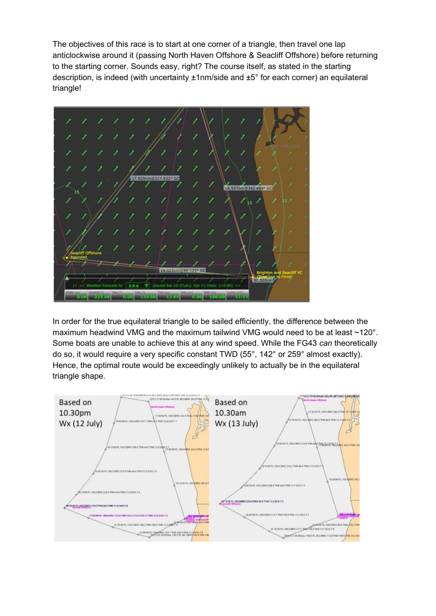The objectives of this race is to start at one corner of a triangle, then travel one lap anticlockwise around it (passing North Haven Offshore & Seacliff Offshore) before returning to the starting corner. Sounds easy, right? The course itself, as stated in the starting description, is indeed (with uncertainty ±1nm/side and ±5° for each corner) an equilateral triangle!



In order for the true equilateral triangle to be sailed efficiently, the difference between the maximum headwind VMG and the maximum tailwind VMG would need to be at least ~120°. Some boats are unable to achieve this at any wind speed. While the FG43 *can* theoretically do so, it would require a very specific constant TWD (55°, 142° or 259° almost exactly). Hence, the optimal route would be exceedingly unlikely to actually be in the equilateral triangle shape.

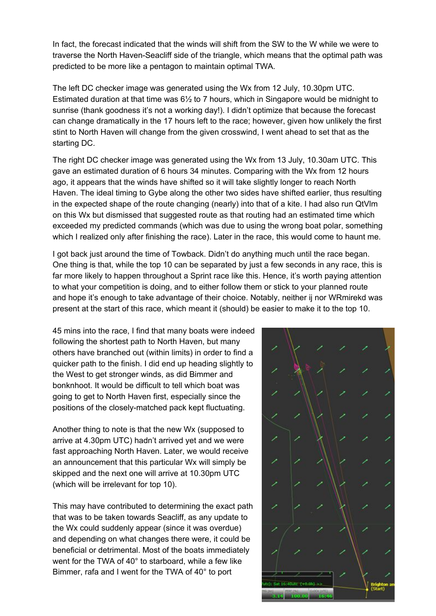In fact, the forecast indicated that the winds will shift from the SW to the W while we were to traverse the North Haven-Seacliff side of the triangle, which means that the optimal path was predicted to be more like a pentagon to maintain optimal TWA.

The left DC checker image was generated using the Wx from 12 July, 10.30pm UTC. Estimated duration at that time was 6½ to 7 hours, which in Singapore would be midnight to sunrise (thank goodness it's not a working day!). I didn't optimize that because the forecast can change dramatically in the 17 hours left to the race; however, given how unlikely the first stint to North Haven will change from the given crosswind, I went ahead to set that as the starting DC.

The right DC checker image was generated using the Wx from 13 July, 10.30am UTC. This gave an estimated duration of 6 hours 34 minutes. Comparing with the Wx from 12 hours ago, it appears that the winds have shifted so it will take slightly longer to reach North Haven. The ideal timing to Gybe along the other two sides have shifted earlier, thus resulting in the expected shape of the route changing (nearly) into that of a kite. I had also run QtVlm on this Wx but dismissed that suggested route as that routing had an estimated time which exceeded my predicted commands (which was due to using the wrong boat polar, something which I realized only after finishing the race). Later in the race, this would come to haunt me.

I got back just around the time of Towback. Didn't do anything much until the race began. One thing is that, while the top 10 can be separated by just a few seconds in any race, this is far more likely to happen throughout a Sprint race like this. Hence, it's worth paying attention to what your competition is doing, and to either follow them or stick to your planned route and hope it's enough to take advantage of their choice. Notably, neither ij nor WRmirekd was present at the start of this race, which meant it (should) be easier to make it to the top 10.

45 mins into the race, I find that many boats were indeed following the shortest path to North Haven, but many others have branched out (within limits) in order to find a quicker path to the finish. I did end up heading slightly to the West to get stronger winds, as did Bimmer and bonknhoot. It would be difficult to tell which boat was going to get to North Haven first, especially since the positions of the closely-matched pack kept fluctuating.

Another thing to note is that the new Wx (supposed to arrive at 4.30pm UTC) hadn't arrived yet and we were fast approaching North Haven. Later, we would receive an announcement that this particular Wx will simply be skipped and the next one will arrive at 10.30pm UTC (which will be irrelevant for top 10).

This may have contributed to determining the exact path that was to be taken towards Seacliff, as any update to the Wx could suddenly appear (since it was overdue) and depending on what changes there were, it could be beneficial or detrimental. Most of the boats immediately went for the TWA of 40° to starboard, while a few like Bimmer, rafa and I went for the TWA of 40° to port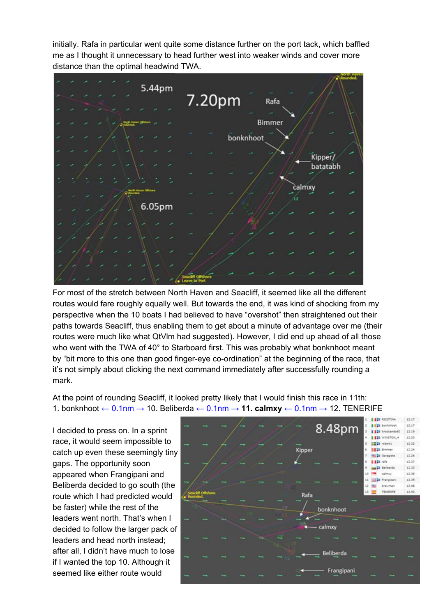initially. Rafa in particular went quite some distance further on the port tack, which baffled me as I thought it unnecessary to head further west into weaker winds and cover more distance than the optimal headwind TWA.



For most of the stretch between North Haven and Seacliff, it seemed like all the different routes would fare roughly equally well. But towards the end, it was kind of shocking from my perspective when the 10 boats I had believed to have "overshot" then straightened out their paths towards Seacliff, thus enabling them to get about a minute of advantage over me (their routes were much like what QtVlm had suggested). However, I did end up ahead of all those who went with the TWA of 40° to Starboard first. This was probably what bonknhoot meant by "bit more to this one than good finger-eye co-ordination" at the beginning of the race, that it's not simply about clicking the next command immediately after successfully rounding a mark.

At the point of rounding Seacliff, it looked pretty likely that I would finish this race in 11th: 1. bonknhoot ← 0.1nm → 10. Beliberda ← 0.1nm → **11. calmxy** ← 0.1nm → 12. TENERIFE

I decided to press on. In a sprint race, it would seem impossible to catch up even these seemingly tiny gaps. The opportunity soon appeared when Frangipani and Beliberda decided to go south (the route which I had predicted would be faster) while the rest of the leaders went north. That's when I decided to follow the larger pack of leaders and head north instead; after all, I didn't have much to lose if I wanted the top 10. Although it seemed like either route would